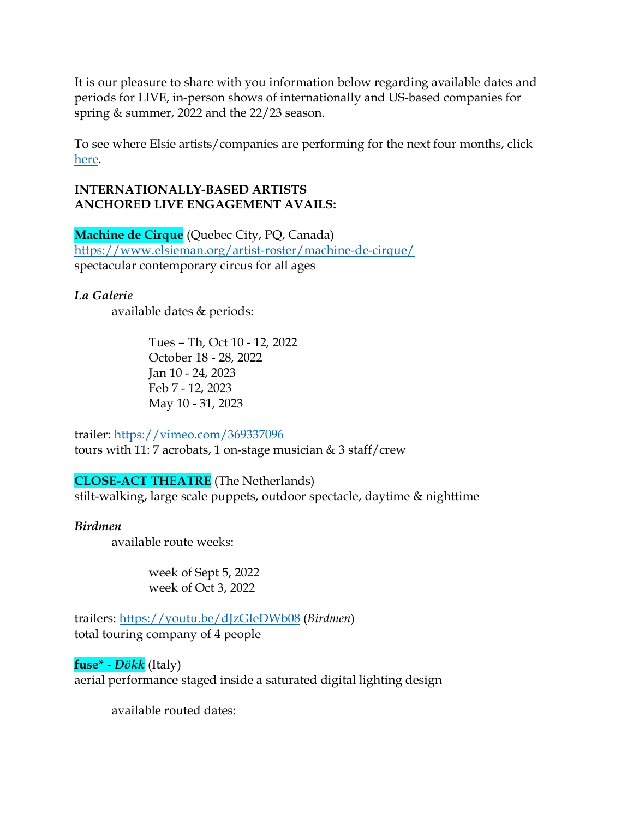It is our pleasure to share with you information below regarding available dates and periods for LIVE, in-person shows of internationally and US-based companies for spring & summer, 2022 and the 22/23 season.

To see where Elsie artists/companies are performing for the next four months, click [here.](https://www.elsieman.org/wp-content/uploads/2022/04/04-06-22-UPCOMING-VIRTUAL-AND-LIVE-PERFORMANCES-1.pdf)

## **INTERNATIONALLY-BASED ARTISTS ANCHORED LIVE ENGAGEMENT AVAILS:**

**Machine de Cirque** (Quebec City, PQ, Canada) <https://www.elsieman.org/artist-roster/machine-de-cirque/> spectacular contemporary circus for all ages

*La Galerie* available dates & periods:

> Tues – Th, Oct 10 - 12, 2022 October 18 - 28, 2022 Jan 10 - 24, 2023 Feb 7 - 12, 2023 May 10 - 31, 2023

trailer:<https://vimeo.com/369337096> tours with 11: 7 acrobats, 1 on-stage musician & 3 staff/crew

**CLOSE-ACT THEATRE** (The Netherlands)

stilt-walking, large scale puppets, outdoor spectacle, daytime & nighttime

## *Birdmen*

available route weeks:

week of Sept 5, 2022 week of Oct 3, 2022

trailers:<https://youtu.be/dJzGIeDWb08> (*Birdmen*) total touring company of 4 people

**fuse\* -** *Dökk* (Italy) aerial performance staged inside a saturated digital lighting design

available routed dates: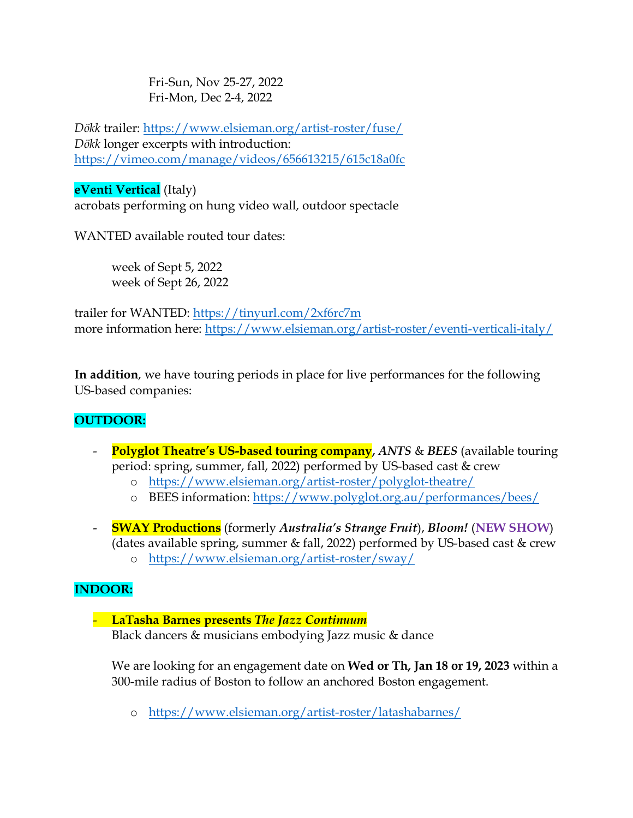Fri-Sun, Nov 25-27, 2022 Fri-Mon, Dec 2-4, 2022

*Dökk* trailer:<https://www.elsieman.org/artist-roster/fuse/> *Dökk* longer excerpts with introduction: <https://vimeo.com/manage/videos/656613215/615c18a0fc>

## **eVenti Vertical** (Italy)

acrobats performing on hung video wall, outdoor spectacle

WANTED available routed tour dates:

week of Sept 5, 2022 week of Sept 26, 2022

trailer for WANTED:<https://tinyurl.com/2xf6rc7m> more information here:<https://www.elsieman.org/artist-roster/eventi-verticali-italy/>

**In addition**, we have touring periods in place for live performances for the following US-based companies:

# **OUTDOOR:**

- **Polyglot Theatre's US-based touring company, ANTS & BEES (available touring)** period: spring, summer, fall, 2022) performed by US-based cast & crew
	- o <https://www.elsieman.org/artist-roster/polyglot-theatre/>
	- o BEES information:<https://www.polyglot.org.au/performances/bees/>
- **SWAY Productions** (formerly *Australia's Strange Fruit*), *Bloom!* (**NEW SHOW**) (dates available spring, summer & fall, 2022) performed by US-based cast & crew o <https://www.elsieman.org/artist-roster/sway/>

# **INDOOR:**

## - **LaTasha Barnes presents** *The Jazz Continuum* Black dancers & musicians embodying Jazz music & dance

We are looking for an engagement date on **Wed or Th, Jan 18 or 19, 2023** within a 300-mile radius of Boston to follow an anchored Boston engagement.

o <https://www.elsieman.org/artist-roster/latashabarnes/>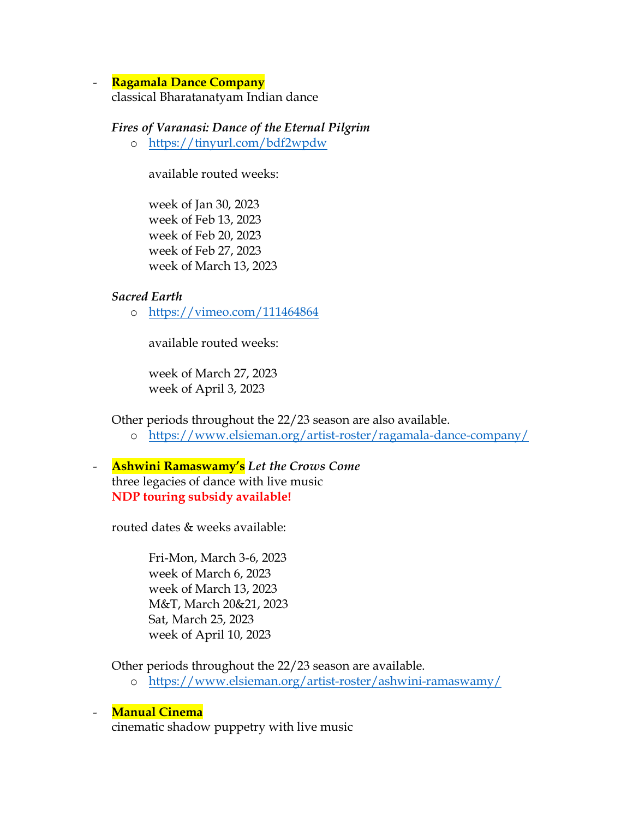#### - **Ragamala Dance Company**

classical Bharatanatyam Indian dance

#### *Fires of Varanasi: Dance of the Eternal Pilgrim*

o <https://tinyurl.com/bdf2wpdw>

available routed weeks:

week of Jan 30, 2023 week of Feb 13, 2023 week of Feb 20, 2023 week of Feb 27, 2023 week of March 13, 2023

#### *Sacred Earth*

o <https://vimeo.com/111464864>

available routed weeks:

week of March 27, 2023 week of April 3, 2023

Other periods throughout the 22/23 season are also available.

- o <https://www.elsieman.org/artist-roster/ragamala-dance-company/>
- **Ashwini Ramaswamy's** *Let the Crows Come* three legacies of dance with live music **NDP touring subsidy available!**

routed dates & weeks available:

Fri-Mon, March 3-6, 2023 week of March 6, 2023 week of March 13, 2023 M&T, March 20&21, 2023 Sat, March 25, 2023 week of April 10, 2023

Other periods throughout the 22/23 season are available.

o <https://www.elsieman.org/artist-roster/ashwini-ramaswamy/>

#### - **Manual Cinema**

cinematic shadow puppetry with live music